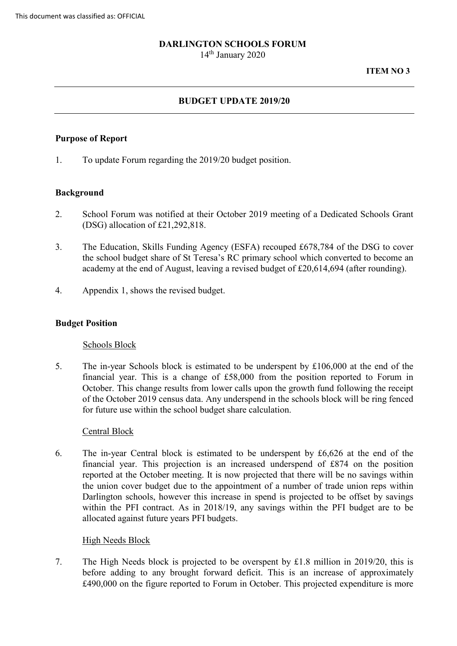# **DARLINGTON SCHOOLS FORUM**

14<sup>th</sup> January 2020

### **ITEM NO 3**

# **BUDGET UPDATE 2019/20**

# **Purpose of Report**

1. To update Forum regarding the 2019/20 budget position.

# **Background**

- 2. School Forum was notified at their October 2019 meeting of a Dedicated Schools Grant (DSG) allocation of £21,292,818.
- 3. The Education, Skills Funding Agency (ESFA) recouped £678,784 of the DSG to cover the school budget share of St Teresa's RC primary school which converted to become an academy at the end of August, leaving a revised budget of £20,614,694 (after rounding).
- 4. Appendix 1, shows the revised budget.

### **Budget Position**

### Schools Block

 5. The in-year Schools block is estimated to be underspent by £106,000 at the end of the financial year. This is a change of £58,000 from the position reported to Forum in October. This change results from lower calls upon the growth fund following the receipt of the October 2019 census data. Any underspend in the schools block will be ring fenced for future use within the school budget share calculation.

### Central Block

 the union cover budget due to the appointment of a number of trade union reps within Darlington schools, however this increase in spend is projected to be offset by savings allocated against future years PFI budgets.<br><u>High Needs Block</u> 6. The in-year Central block is estimated to be underspent by £6,626 at the end of the financial year. This projection is an increased underspend of £874 on the position reported at the October meeting. It is now projected that there will be no savings within within the PFI contract. As in 2018/19, any savings within the PFI budget are to be

 before adding to any brought forward deficit. This is an increase of approximately 7. The High Needs block is projected to be overspent by £1.8 million in 2019/20, this is £490,000 on the figure reported to Forum in October. This projected expenditure is more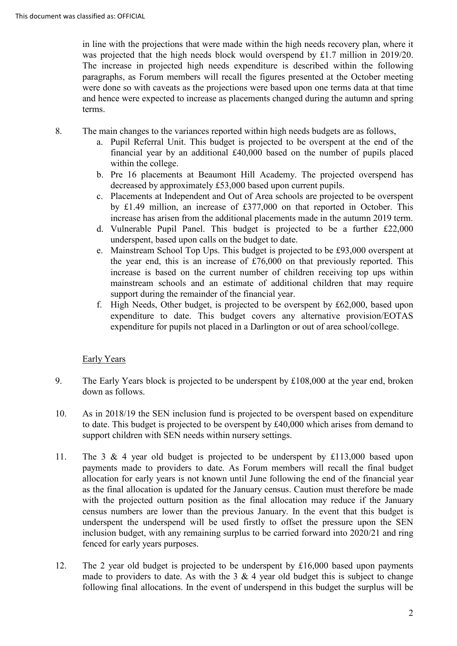in line with the projections that were made within the high needs recovery plan, where it paragraphs, as Forum members will recall the figures presented at the October meeting was projected that the high needs block would overspend by £1.7 million in 2019/20. The increase in projected high needs expenditure is described within the following were done so with caveats as the projections were based upon one terms data at that time and hence were expected to increase as placements changed during the autumn and spring terms.

- The main changes to the variances reported within high needs budgets are as follows, 8.
	- a. Pupil Referral Unit. This budget is projected to be overspent at the end of the financial year by an additional £40,000 based on the number of pupils placed within the college.
	- b. Pre 16 placements at Beaumont Hill Academy. The projected overspend has decreased by approximately £53,000 based upon current pupils.
	- c. Placements at Independent and Out of Area schools are projected to be overspent by £1.49 million, an increase of £377,000 on that reported in October. This increase has arisen from the additional placements made in the autumn 2019 term.
	- d. Vulnerable Pupil Panel. This budget is projected to be a further £22,000 underspent, based upon calls on the budget to date.
	- increase is based on the current number of children receiving top ups within e. Mainstream School Top Ups. This budget is projected to be £93,000 overspent at the year end, this is an increase of  $£76,000$  on that previously reported. This mainstream schools and an estimate of additional children that may require support during the remainder of the financial year.
	- f. High Needs, Other budget, is projected to be overspent by £62,000, based upon expenditure to date. This budget covers any alternative provision/EOTAS expenditure for pupils not placed in a Darlington or out of area school/college.<br>Early Years

- 9. The Early Years block is projected to be underspent by £108,000 at the year end, broken down as follows.
- to date. This budget is projected to be overspent by £40,000 which arises from demand to 10. As in 2018/19 the SEN inclusion fund is projected to be overspent based on expenditure support children with SEN needs within nursery settings.
- allocation for early years is not known until June following the end of the financial year as the final allocation is updated for the January census. Caution must therefore be made underspent the underspend will be used firstly to offset the pressure upon the SEN 11. The 3 & 4 year old budget is projected to be underspent by £113,000 based upon payments made to providers to date. As Forum members will recall the final budget with the projected outturn position as the final allocation may reduce if the January census numbers are lower than the previous January. In the event that this budget is inclusion budget, with any remaining surplus to be carried forward into 2020/21 and ring fenced for early years purposes.
- made to providers to date. As with the 3  $\&$  4 year old budget this is subject to change 12. The 2 year old budget is projected to be underspent by  $£16,000$  based upon payments following final allocations. In the event of underspend in this budget the surplus will be